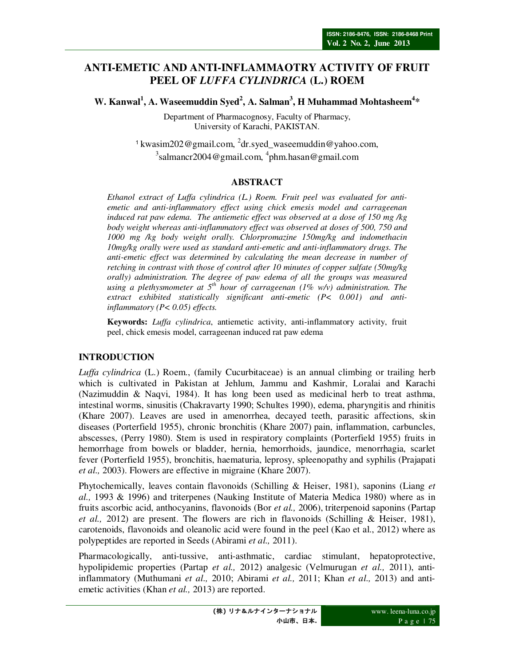# **ANTI-EMETIC AND ANTI-INFLAMMAOTRY ACTIVITY OF FRUIT PEEL OF** *LUFFA CYLINDRICA* **(L.) ROEM**

**W. Kanwal<sup>1</sup> , A. Waseemuddin Syed<sup>2</sup> , A. Salman<sup>3</sup> , H Muhammad Mohtasheem<sup>4</sup> \*** 

Department of Pharmacognosy, Faculty of Pharmacy, University of Karachi, PAKISTAN.

<sup>1</sup> kwasim202@gmail.com, <sup>2</sup>dr.syed\_waseemuddin@yahoo.com,  $3$ salmancr2004@gmail.com,  $4$ phm.hasan@gmail.com

# **ABSTRACT**

*Ethanol extract of Luffa cylindrica (L.) Roem. Fruit peel was evaluated for antiemetic and anti-inflammatory effect using chick emesis model and carrageenan induced rat paw edema. The antiemetic effect was observed at a dose of 150 mg /kg body weight whereas anti-inflammatory effect was observed at doses of 500, 750 and 1000 mg /kg body weight orally. Chlorpromazine 150mg/kg and indomethacin 10mg/kg orally were used as standard anti-emetic and anti-inflammatory drugs. The anti-emetic effect was determined by calculating the mean decrease in number of retching in contrast with those of control after 10 minutes of copper sulfate (50mg/kg orally) administration. The degree of paw edema of all the groups was measured using a plethysmometer at 5th hour of carrageenan (1% w/v) administration. The extract exhibited statistically significant anti-emetic (P< 0.001) and antiinflammatory (P< 0.05) effects.* 

**Keywords:** *Luffa cylindrica*, antiemetic activity, anti-inflammatory activity, fruit peel, chick emesis model, carrageenan induced rat paw edema

### **INTRODUCTION**

*Luffa cylindrica* (L.) Roem., (family Cucurbitaceae) is an annual climbing or trailing herb which is cultivated in Pakistan at Jehlum, Jammu and Kashmir, Loralai and Karachi (Nazimuddin & Naqvi, 1984). It has long been used as medicinal herb to treat asthma, intestinal worms, sinusitis (Chakravarty 1990; Schultes 1990), edema, pharyngitis and rhinitis (Khare 2007). Leaves are used in amenorrhea, decayed teeth, parasitic affections, skin diseases (Porterfield 1955), chronic bronchitis (Khare 2007) pain, inflammation, carbuncles, abscesses, (Perry 1980). Stem is used in respiratory complaints (Porterfield 1955) fruits in hemorrhage from bowels or bladder, hernia, hemorrhoids, jaundice, menorrhagia, scarlet fever (Porterfield 1955), bronchitis, haematuria, leprosy, spleenopathy and syphilis (Prajapati *et al.,* 2003). Flowers are effective in migraine (Khare 2007).

Phytochemically, leaves contain flavonoids (Schilling & Heiser, 1981), saponins (Liang *et al.,* 1993 & 1996) and triterpenes (Nauking Institute of Materia Medica 1980) where as in fruits ascorbic acid, anthocyanins, flavonoids (Bor *et al.,* 2006), triterpenoid saponins (Partap *et al.,* 2012) are present. The flowers are rich in flavonoids (Schilling & Heiser, 1981), carotenoids, flavonoids and oleanolic acid were found in the peel (Kao et al., 2012) where as polypeptides are reported in Seeds (Abirami *et al.,* 2011).

Pharmacologically, anti-tussive, anti-asthmatic, cardiac stimulant, hepatoprotective, hypolipidemic properties (Partap *et al.,* 2012) analgesic (Velmurugan *et al.,* 2011), antiinflammatory (Muthumani *et al.,* 2010; Abirami *et al.,* 2011; Khan *et al.,* 2013) and antiemetic activities (Khan *et al.,* 2013) are reported.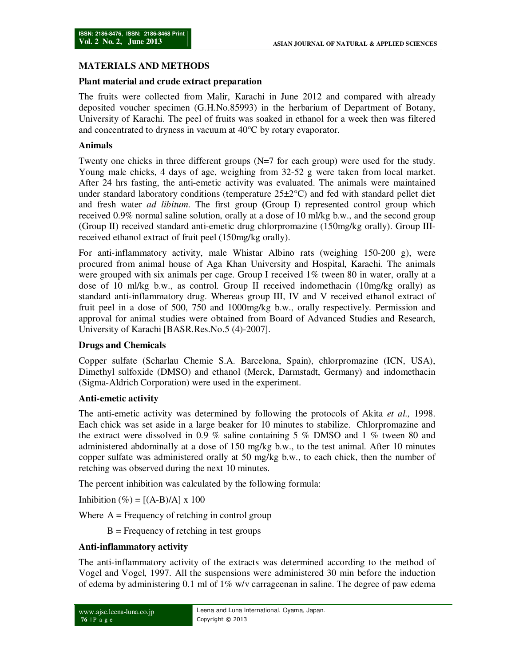## **MATERIALS AND METHODS**

### **Plant material and crude extract preparation**

The fruits were collected from Malir, Karachi in June 2012 and compared with already deposited voucher specimen (G.H.No.85993) in the herbarium of Department of Botany, University of Karachi. The peel of fruits was soaked in ethanol for a week then was filtered and concentrated to dryness in vacuum at 40°C by rotary evaporator.

### **Animals**

Twenty one chicks in three different groups (N=7 for each group) were used for the study. Young male chicks, 4 days of age, weighing from 32-52 g were taken from local market. After 24 hrs fasting, the anti-emetic activity was evaluated. The animals were maintained under standard laboratory conditions (temperature  $25\pm2^{\circ}\text{C}$ ) and fed with standard pellet diet and fresh water *ad libitum*. The first group **(**Group I) represented control group which received 0.9% normal saline solution, orally at a dose of 10 ml/kg b.w., and the second group (Group II) received standard anti-emetic drug chlorpromazine (150mg/kg orally). Group IIIreceived ethanol extract of fruit peel (150mg/kg orally).

For anti-inflammatory activity, male Whistar Albino rats (weighing 150-200 g), were procured from animal house of Aga Khan University and Hospital, Karachi. The animals were grouped with six animals per cage. Group I received 1% tween 80 in water, orally at a dose of 10 ml/kg b.w., as control. Group II received indomethacin (10mg/kg orally) as standard anti-inflammatory drug. Whereas group III, IV and V received ethanol extract of fruit peel in a dose of 500, 750 and 1000mg/kg b.w., orally respectively. Permission and approval for animal studies were obtained from Board of Advanced Studies and Research, University of Karachi [BASR.Res.No.5 (4)-2007].

#### **Drugs and Chemicals**

Copper sulfate (Scharlau Chemie S.A. Barcelona, Spain), chlorpromazine (ICN, USA), Dimethyl sulfoxide (DMSO) and ethanol (Merck, Darmstadt, Germany) and indomethacin (Sigma-Aldrich Corporation) were used in the experiment.

#### **Anti-emetic activity**

The anti-emetic activity was determined by following the protocols of Akita *et al.,* 1998. Each chick was set aside in a large beaker for 10 minutes to stabilize. Chlorpromazine and the extract were dissolved in 0.9 % saline containing 5 % DMSO and 1 % tween 80 and administered abdominally at a dose of 150 mg/kg b.w., to the test animal. After 10 minutes copper sulfate was administered orally at 50 mg/kg b.w., to each chick, then the number of retching was observed during the next 10 minutes.

The percent inhibition was calculated by the following formula:

Inhibition  $(\%) = [(\text{A-B})/\text{A}] \times 100$ 

Where  $A = F$  Frequency of retching in control group

 $B =$  Frequency of retching in test groups

### **Anti-inflammatory activity**

The anti-inflammatory activity of the extracts was determined according to the method of Vogel and Vogel*,* 1997. All the suspensions were administered 30 min before the induction of edema by administering 0.1 ml of  $1\%$  w/v carrageenan in saline. The degree of paw edema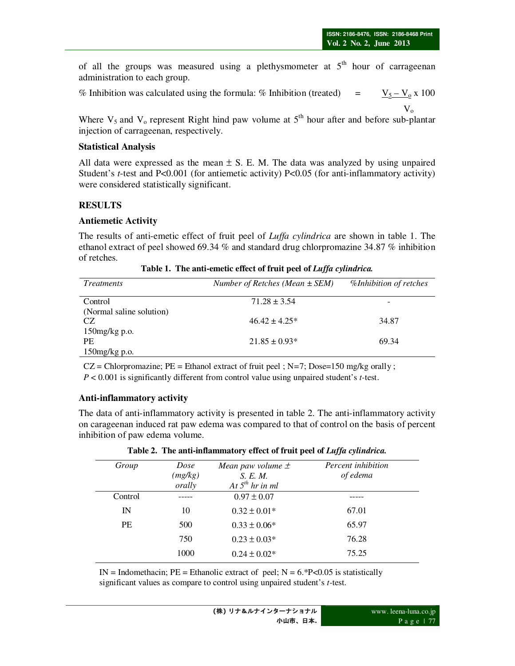of all the groups was measured using a plethysmometer at  $5<sup>th</sup>$  hour of carrageenan administration to each group.

% Inhibition was calculated using the formula: % Inhibition (treated) =  $V_5 - V_0 x 100$  $V_{o}$ 

Where  $V_5$  and  $V_0$  represent Right hind paw volume at  $5<sup>th</sup>$  hour after and before sub-plantar injection of carrageenan, respectively.

#### **Statistical Analysis**

All data were expressed as the mean  $\pm$  S. E. M. The data was analyzed by using unpaired Student's *t*-test and P<0.001 (for antiemetic activity) P<0.05 (for anti-inflammatory activity) were considered statistically significant.

#### **RESULTS**

#### **Antiemetic Activity**

The results of anti-emetic effect of fruit peel of *Luffa cylindrica* are shown in table 1. The ethanol extract of peel showed 69.34 % and standard drug chlorpromazine 34.87 % inhibition of retches.

| <i>Treatments</i>        | Number of Retches (Mean $\pm$ SEM) | %Inhibition of retches |
|--------------------------|------------------------------------|------------------------|
| Control                  | $71.28 \pm 3.54$                   | -                      |
| (Normal saline solution) |                                    |                        |
| CZ                       | $46.42 + 4.25*$                    | 34.87                  |
| $150$ mg/kg p.o.         |                                    |                        |
| PF.                      | $21.85 \pm 0.93*$                  | 69.34                  |
| $150$ mg/kg p.o.         |                                    |                        |

**Table 1. The anti-emetic effect of fruit peel of** *Luffa cylindrica.*

CZ = Chlorpromazine; PE = Ethanol extract of fruit peel ; N*=*7; Dose=150 mg/kg orally ; *P* < 0.001 is significantly different from control value using unpaired student's *t-*test.

#### **Anti-inflammatory activity**

The data of anti-inflammatory activity is presented in table 2. The anti-inflammatory activity on carageenan induced rat paw edema was compared to that of control on the basis of percent inhibition of paw edema volume.

| Group     | Dose<br>(mg/kg)<br>orally | Mean paw volume $\pm$<br>S. E. M.<br>At $5^{th}$ hr in ml | Percent inhibition<br>of edema |
|-----------|---------------------------|-----------------------------------------------------------|--------------------------------|
| Control   |                           | $0.97 \pm 0.07$                                           |                                |
| IN        | 10                        | $0.32 \pm 0.01*$                                          | 67.01                          |
| <b>PE</b> | 500                       | $0.33 \pm 0.06*$                                          | 65.97                          |
|           | 750                       | $0.23 \pm 0.03*$                                          | 76.28                          |
|           | 1000                      | $0.24 \pm 0.02*$                                          | 75.25                          |

**Table 2. The anti-inflammatory effect of fruit peel of** *Luffa cylindrica.*

IN = Indomethacin;  $PE =$  Ethanolic extract of peel;  $N = 6.*P < 0.05$  is statistically significant values as compare to control using unpaired student's *t-*test.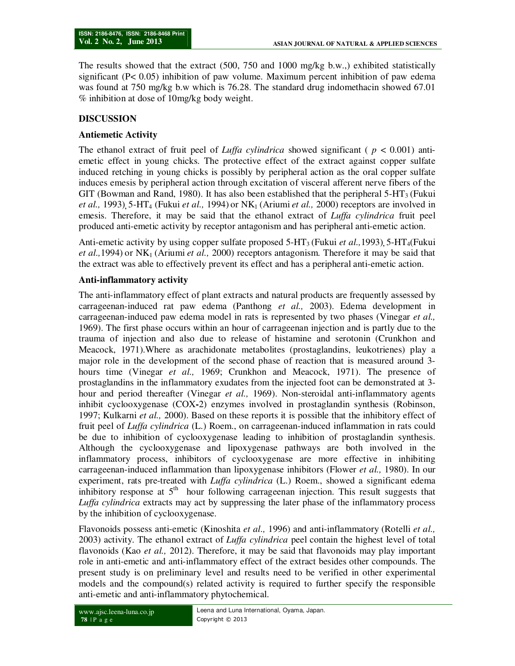The results showed that the extract (500, 750 and 1000 mg/kg b.w.,) exhibited statistically significant (P< 0.05) inhibition of paw volume. Maximum percent inhibition of paw edema was found at 750 mg/kg b.w which is 76.28. The standard drug indomethacin showed 67.01 % inhibition at dose of 10mg/kg body weight.

## **DISCUSSION**

### **Antiemetic Activity**

The ethanol extract of fruit peel of *Luffa cylindrica* showed significant ( $p < 0.001$ ) antiemetic effect in young chicks. The protective effect of the extract against copper sulfate induced retching in young chicks is possibly by peripheral action as the oral copper sulfate induces emesis by peripheral action through excitation of visceral afferent nerve fibers of the GIT (Bowman and Rand, 1980). It has also been established that the peripheral  $5-HT<sub>3</sub>$  (Fukui *et al.,* 1993), 5-HT<sub>4</sub> (Fukui *et al.,* 1994) or NK<sub>1</sub> (Ariumi *et al.,* 2000) receptors are involved in emesis. Therefore, it may be said that the ethanol extract of *Luffa cylindrica* fruit peel produced anti-emetic activity by receptor antagonism and has peripheral anti-emetic action.

Anti-emetic activity by using copper sulfate proposed 5-HT<sup>3</sup> (Fukui *et al.,*1993)**,** 5-HT4(Fukui *et al.,* 1994) or NK<sub>1</sub> (Ariumi *et al.,* 2000) receptors antagonism. Therefore it may be said that the extract was able to effectively prevent its effect and has a peripheral anti-emetic action.

### **Anti-inflammatory activity**

The anti-inflammatory effect of plant extracts and natural products are frequently assessed by carrageenan-induced rat paw edema (Panthong *et al.,* 2003). Edema development in carrageenan-induced paw edema model in rats is represented by two phases (Vinegar *et al.,* 1969). The first phase occurs within an hour of carrageenan injection and is partly due to the trauma of injection and also due to release of histamine and serotonin (Crunkhon and Meacock, 1971).Where as arachidonate metabolites (prostaglandins, leukotrienes) play a major role in the development of the second phase of reaction that is measured around 3 hours time (Vinegar *et al.,* 1969; Crunkhon and Meacock, 1971). The presence of prostaglandins in the inflammatory exudates from the injected foot can be demonstrated at 3 hour and period thereafter (Vinegar *et al.,* 1969). Non-steroidal anti-inflammatory agents inhibit cyclooxygenase (COX**-**2) enzymes involved in prostaglandin synthesis (Robinson, 1997; Kulkarni *et al.,* 2000). Based on these reports it is possible that the inhibitory effect of fruit peel of *Luffa cylindrica* (L.) Roem., on carrageenan-induced inflammation in rats could be due to inhibition of cyclooxygenase leading to inhibition of prostaglandin synthesis. Although the cyclooxygenase and lipoxygenase pathways are both involved in the inflammatory process, inhibitors of cyclooxygenase are more effective in inhibiting carrageenan-induced inflammation than lipoxygenase inhibitors (Flower *et al.,* 1980). In our experiment, rats pre-treated with *Luffa cylindrica* (L.) Roem., showed a significant edema inhibitory response at  $5<sup>th</sup>$  hour following carrageenan injection. This result suggests that *Luffa cylindrica* extracts may act by suppressing the later phase of the inflammatory process by the inhibition of cyclooxygenase.

Flavonoids possess anti-emetic (Kinoshita *et al.,* 1996) and anti-inflammatory (Rotelli *et al.,* 2003) activity. The ethanol extract of *Luffa cylindrica* peel contain the highest level of total flavonoids (Kao *et al.,* 2012). Therefore, it may be said that flavonoids may play important role in anti-emetic and anti-inflammatory effect of the extract besides other compounds. The present study is on preliminary level and results need to be verified in other experimental models and the compound(s) related activity is required to further specify the responsible anti-emetic and anti-inflammatory phytochemical.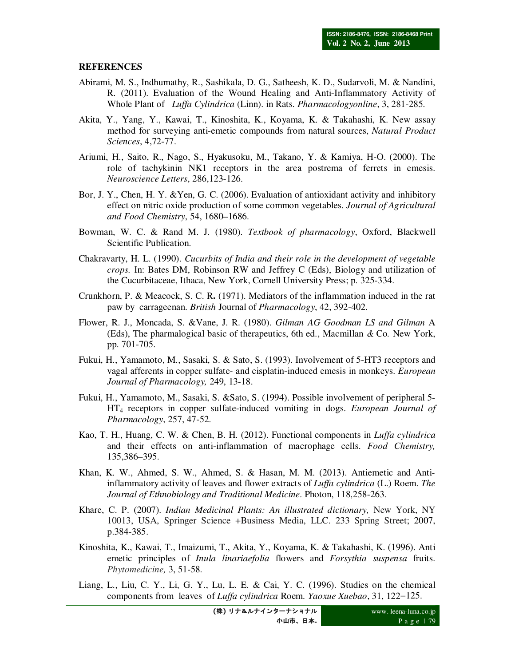#### **REFERENCES**

- Abirami, M. S., Indhumathy, R., Sashikala, D. G., Satheesh, K. D., Sudarvoli, M. & Nandini, R. (2011). Evaluation of the Wound Healing and Anti-Inflammatory Activity of Whole Plant of *Luffa Cylindrica* (Linn). in Rats. *Pharmacologyonline*, 3, 281-285.
- Akita, Y., Yang, Y., Kawai, T., Kinoshita, K., Koyama, K. & Takahashi, K. New assay method for surveying anti-emetic compounds from natural sources, *Natural Product Sciences*, 4,72-77.
- Ariumi, H., Saito, R., Nago, S., Hyakusoku, M., Takano, Y. & Kamiya, H-O. (2000). The role of tachykinin NK1 receptors in the area postrema of ferrets in emesis. *Neuroscience Letters*, 286,123-126.
- Bor, J. Y., Chen, H. Y. &Yen, G. C. (2006). Evaluation of antioxidant activity and inhibitory effect on nitric oxide production of some common vegetables. *Journal of Agricultural and Food Chemistry*, 54, 1680–1686.
- Bowman, W. C. & Rand M. J. (1980). *Textbook of pharmacology*, Oxford, Blackwell Scientific Publication.
- Chakravarty, H. L. (1990). *Cucurbits of India and their role in the development of vegetable crops.* In: Bates DM, Robinson RW and Jeffrey C (Eds), Biology and utilization of the Cucurbitaceae, Ithaca, New York, Cornell University Press; p. 325-334.
- Crunkhorn, P. & Meacock, S. C. R**.** (1971). Mediators of the inflammation induced in the rat paw by carrageenan. *British* Journal of *Pharmacology*, 42, 392-402.
- Flower, R. J., Moncada, S. &Vane, J. R. (1980). *Gilman AG Goodman LS and Gilman* A (Eds), The pharmalogical basic of therapeutics, 6th ed., Macmillan *&* Co*.* New York, pp. 701-705.
- Fukui, H., Yamamoto, M., Sasaki, S. & Sato, S. (1993). Involvement of 5-HT3 receptors and vagal afferents in copper sulfate- and cisplatin-induced emesis in monkeys. *European Journal of Pharmacology,* 249, 13-18.
- Fukui, H., Yamamoto, M., Sasaki, S. &Sato, S. (1994). Possible involvement of peripheral 5- HT4 receptors in copper sulfate-induced vomiting in dogs. *European Journal of Pharmacology*, 257, 47-52.
- Kao, T. H., Huang, C. W. & Chen, B. H. (2012). Functional components in *Luffa cylindrica* and their effects on anti-inflammation of macrophage cells. *Food Chemistry,*  135,386–395.
- Khan, K. W., Ahmed, S. W., Ahmed, S. & Hasan, M. M. (2013). Antiemetic and Antiinflammatory activity of leaves and flower extracts of *Luffa cylindrica* (L.) Roem. *The Journal of Ethnobiology and Traditional Medicine*. Photon, 118,258-263.
- Khare, C. P. (2007). *Indian Medicinal Plants: An illustrated dictionary,* New York, NY 10013, USA, Springer Science +Business Media, LLC. 233 Spring Street; 2007, p.384-385.
- Kinoshita, K., Kawai, T., Imaizumi, T., Akita, Y., Koyama, K. & Takahashi, K. (1996). Anti emetic principles of *Inula linariaefolia* flowers and *Forsythia suspensa* fruits. *Phytomedicine,* 3, 51-58.
- Liang, L., Liu, C. Y., Li, G. Y., Lu, L. E. & Cai, Y. C. (1996). Studies on the chemical components from leaves of *Luffa cylindrica* Roem. *Yaoxue Xuebao*, 31, 122−125.